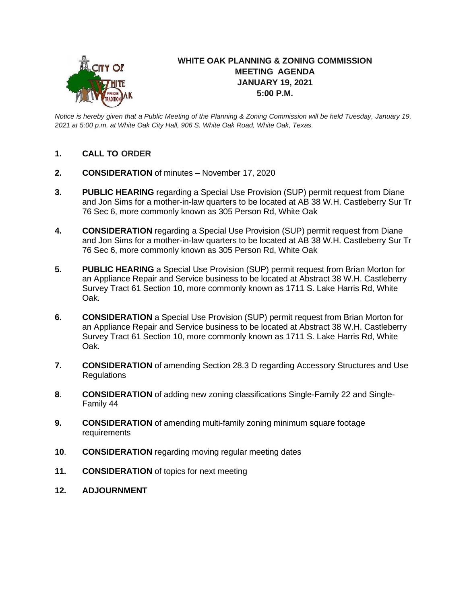

## **WHITE OAK PLANNING & ZONING COMMISSION MEETING AGENDA JANUARY 19, 2021 5:00 P.M.**

*Notice is hereby given that a Public Meeting of the Planning & Zoning Commission will be held Tuesday, January 19, 2021 at 5:00 p.m. at White Oak City Hall, 906 S. White Oak Road, White Oak, Texas.*

- **1. CALL TO ORDER**
- **2. CONSIDERATION** of minutes November 17, 2020
- **3. PUBLIC HEARING** regarding a Special Use Provision (SUP) permit request from Diane and Jon Sims for a mother-in-law quarters to be located at AB 38 W.H. Castleberry Sur Tr 76 Sec 6, more commonly known as 305 Person Rd, White Oak
- **4. CONSIDERATION** regarding a Special Use Provision (SUP) permit request from Diane and Jon Sims for a mother-in-law quarters to be located at AB 38 W.H. Castleberry Sur Tr 76 Sec 6, more commonly known as 305 Person Rd, White Oak
- **5. PUBLIC HEARING** a Special Use Provision (SUP) permit request from Brian Morton for an Appliance Repair and Service business to be located at Abstract 38 W.H. Castleberry Survey Tract 61 Section 10, more commonly known as 1711 S. Lake Harris Rd, White Oak.
- **6. CONSIDERATION** a Special Use Provision (SUP) permit request from Brian Morton for an Appliance Repair and Service business to be located at Abstract 38 W.H. Castleberry Survey Tract 61 Section 10, more commonly known as 1711 S. Lake Harris Rd, White Oak.
- **7. CONSIDERATION** of amending Section 28.3 D regarding Accessory Structures and Use **Regulations**
- **8**. **CONSIDERATION** of adding new zoning classifications Single-Family 22 and Single-Family 44
- **9. CONSIDERATION** of amending multi-family zoning minimum square footage requirements
- **10**. **CONSIDERATION** regarding moving regular meeting dates
- **11. CONSIDERATION** of topics for next meeting
- **12. ADJOURNMENT**